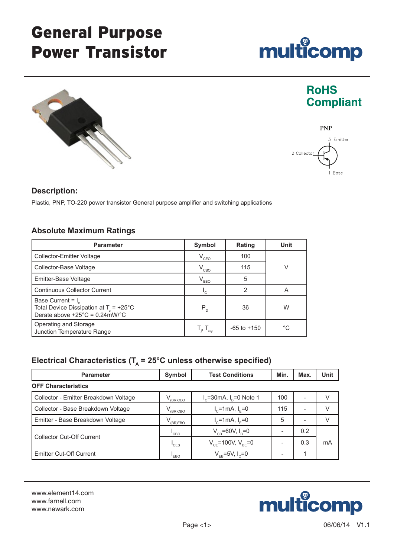# General Purpose Power Transistor





### **Description:**

Plastic, PNP, TO-220 power transistor General purpose amplifier and switching applications

### **Absolute Maximum Ratings**

| <b>Parameter</b>                                                                                                       | Symbol                                                      | Rating          | Unit         |  |
|------------------------------------------------------------------------------------------------------------------------|-------------------------------------------------------------|-----------------|--------------|--|
| Collector-Emitter Voltage                                                                                              | $V_{CEO}$                                                   | 100             |              |  |
| Collector-Base Voltage                                                                                                 | $V_{CBO}$                                                   | 115             | V            |  |
| Emitter-Base Voltage                                                                                                   | $V_{EBO}$                                                   | 5               |              |  |
| <b>Continuous Collector Current</b>                                                                                    | $\mathsf{L}_{\mathsf{C}}$                                   | $\mathbf{2}$    | A            |  |
| Base Current = $I_{R}$<br>Total Device Dissipation at $T_c = +25^{\circ}C$<br>Derate above $+25^{\circ}$ C = 0.24mW/°C | $P_{D}$                                                     | 36              | W            |  |
| Operating and Storage<br>Junction Temperature Range                                                                    | $\mathsf{T}_{_{\mathsf{j}}},\,\mathsf{T}_{_{\mathsf{stg}}}$ | $-65$ to $+150$ | $^{\circ}$ C |  |

## Electrical Characteristics ( $T_A$  = 25°C unless otherwise specified)

| <b>Parameter</b>                      | Symbol  | <b>Test Conditions</b>                            | Min. | Max. | Unit |
|---------------------------------------|---------|---------------------------------------------------|------|------|------|
| <b>OFF Characteristics</b>            |         |                                                   |      |      |      |
| Collector - Emitter Breakdown Voltage | (BR)CEO | $I_c = 30 \text{ mA}$ , $I_R = 0 \text{ Note } 1$ | 100  |      |      |
| Collector - Base Breakdown Voltage    | (BR)CBO | $I_c = 1$ mA, $I_F = 0$                           | 115  |      | V    |
| Emitter - Base Breakdown Voltage      | (BR)EBO | $I_c$ =1mA, $I_F$ =0                              | 5    |      |      |
| Collector Cut-Off Current             | 'CBO    | $V_{CR}$ =60V, $I_{R}$ =0                         |      | 0.2  |      |
|                                       | 'CES    | $V_{CF}$ =100V, $V_{BE}$ =0                       |      | 0.3  | mA   |
| Emitter Cut-Off Current               | 'EBO    | $V_{FB} = 5V, I_{C} = 0$                          |      |      |      |

www.element14.com www.farnell.com www.newark.com





# **RoHS Compliant**